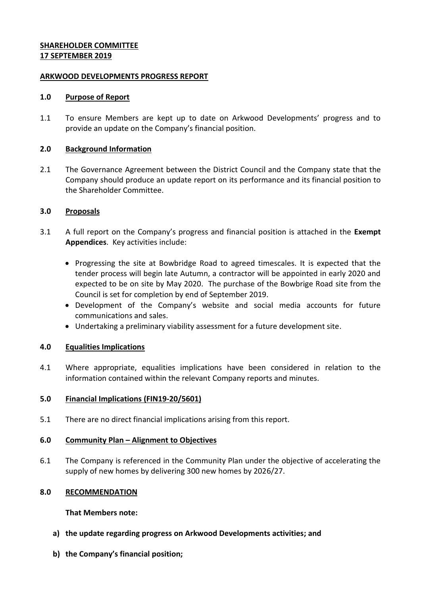## **SHAREHOLDER COMMITTEE 17 SEPTEMBER 2019**

#### **ARKWOOD DEVELOPMENTS PROGRESS REPORT**

#### **1.0 Purpose of Report**

1.1 To ensure Members are kept up to date on Arkwood Developments' progress and to provide an update on the Company's financial position.

#### **2.0 Background Information**

2.1 The Governance Agreement between the District Council and the Company state that the Company should produce an update report on its performance and its financial position to the Shareholder Committee.

#### **3.0 Proposals**

- 3.1 A full report on the Company's progress and financial position is attached in the **Exempt Appendices**. Key activities include:
	- Progressing the site at Bowbridge Road to agreed timescales. It is expected that the tender process will begin late Autumn, a contractor will be appointed in early 2020 and expected to be on site by May 2020. The purchase of the Bowbrige Road site from the Council is set for completion by end of September 2019.
	- Development of the Company's website and social media accounts for future communications and sales.
	- Undertaking a preliminary viability assessment for a future development site.

## **4.0 Equalities Implications**

4.1 Where appropriate, equalities implications have been considered in relation to the information contained within the relevant Company reports and minutes.

## **5.0 Financial Implications (FIN19-20/5601)**

5.1 There are no direct financial implications arising from this report.

## **6.0 Community Plan – Alignment to Objectives**

6.1 The Company is referenced in the Community Plan under the objective of accelerating the supply of new homes by delivering 300 new homes by 2026/27.

## **8.0 RECOMMENDATION**

#### **That Members note:**

- **a) the update regarding progress on Arkwood Developments activities; and**
- **b) the Company's financial position;**